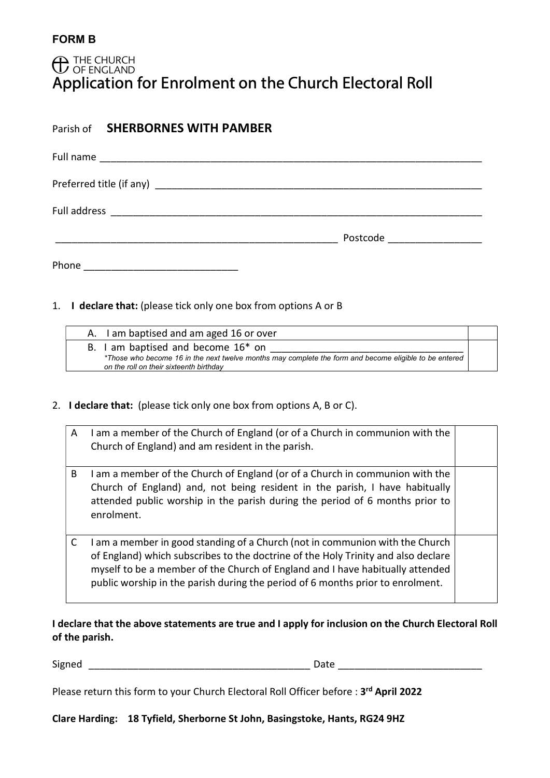# **C** THE CHURCH Application for Enrolment on the Church Electoral Roll

| Parish of <b>SHERBORNES WITH PAMBER</b> |                               |  |
|-----------------------------------------|-------------------------------|--|
|                                         |                               |  |
|                                         |                               |  |
|                                         |                               |  |
|                                         | Postcode ____________________ |  |
|                                         |                               |  |

1. I declare that: (please tick only one box from options A or B

| I am baptised and am aged 16 or over                                                                                                              |  |
|---------------------------------------------------------------------------------------------------------------------------------------------------|--|
| B. I am baptised and become 16 <sup>*</sup> on                                                                                                    |  |
| *Those who become 16 in the next twelve months may complete the form and become eligible to be entered<br>on the roll on their sixteenth birthday |  |

#### 2. I declare that: (please tick only one box from options A, B or C).

| A | I am a member of the Church of England (or of a Church in communion with the<br>Church of England) and am resident in the parish.                                                                                                                                                                                                    |  |
|---|--------------------------------------------------------------------------------------------------------------------------------------------------------------------------------------------------------------------------------------------------------------------------------------------------------------------------------------|--|
| B | I am a member of the Church of England (or of a Church in communion with the<br>Church of England) and, not being resident in the parish, I have habitually<br>attended public worship in the parish during the period of 6 months prior to<br>enrolment.                                                                            |  |
| C | I am a member in good standing of a Church (not in communion with the Church<br>of England) which subscribes to the doctrine of the Holy Trinity and also declare<br>myself to be a member of the Church of England and I have habitually attended<br>public worship in the parish during the period of 6 months prior to enrolment. |  |

## I declare that the above statements are true and I apply for inclusion on the Church Electoral Roll of the parish.

Signed \_\_\_\_\_\_\_\_\_\_\_\_\_\_\_\_\_\_\_\_\_\_\_\_\_\_\_\_\_\_\_\_\_\_\_\_\_\_\_\_ Date \_\_\_\_\_\_\_\_\_\_\_\_\_\_\_\_\_\_\_\_\_\_\_\_\_\_

Please return this form to your Church Electoral Roll Officer before : 3rd April 2022

Clare Harding: 18 Tyfield, Sherborne St John, Basingstoke, Hants, RG24 9HZ